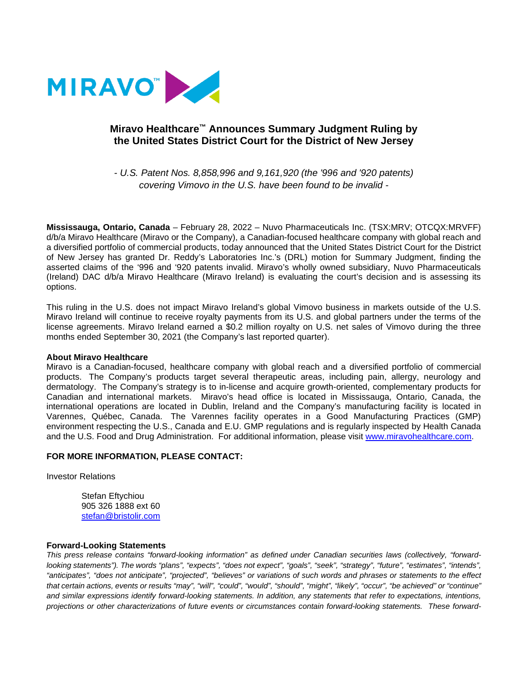

## **Miravo Healthcare™ Announces Summary Judgment Ruling by the United States District Court for the District of New Jersey**

*- U.S. Patent Nos. 8,858,996 and 9,161,920 (the '996 and '920 patents) covering Vimovo in the U.S. have been found to be invalid -*

**Mississauga, Ontario, Canada** – February 28, 2022 – Nuvo Pharmaceuticals Inc. (TSX:MRV; OTCQX:MRVFF) d/b/a Miravo Healthcare (Miravo or the Company), a Canadian-focused healthcare company with global reach and a diversified portfolio of commercial products, today announced that the United States District Court for the District of New Jersey has granted Dr. Reddy's Laboratories Inc.'s (DRL) motion for Summary Judgment, finding the asserted claims of the '996 and '920 patents invalid. Miravo's wholly owned subsidiary, Nuvo Pharmaceuticals (Ireland) DAC d/b/a Miravo Healthcare (Miravo Ireland) is evaluating the court's decision and is assessing its options.

This ruling in the U.S. does not impact Miravo Ireland's global Vimovo business in markets outside of the U.S. Miravo Ireland will continue to receive royalty payments from its U.S. and global partners under the terms of the license agreements. Miravo Ireland earned a \$0.2 million royalty on U.S. net sales of Vimovo during the three months ended September 30, 2021 (the Company's last reported quarter).

## **About Miravo Healthcare**

Miravo is a Canadian-focused, healthcare company with global reach and a diversified portfolio of commercial products. The Company's products target several therapeutic areas, including pain, allergy, neurology and dermatology. The Company's strategy is to in-license and acquire growth-oriented, complementary products for Canadian and international markets. Miravo's head office is located in Mississauga, Ontario, Canada, the international operations are located in Dublin, Ireland and the Company's manufacturing facility is located in Varennes, Québec, Canada. The Varennes facility operates in a Good Manufacturing Practices (GMP) environment respecting the U.S., Canada and E.U. GMP regulations and is regularly inspected by Health Canada and the U.S. Food and Drug Administration. For additional information, please visit [www.miravohealthcare.com.](http://www.miravohealthcare.com/)

## **FOR MORE INFORMATION, PLEASE CONTACT:**

Investor Relations

Stefan Eftychiou 905 326 1888 ext 60 [stefan@bristolir.com](mailto:stefan@bristolir.com)

## **Forward-Looking Statements**

*This press release contains "forward-looking information" as defined under Canadian securities laws (collectively, "forward*looking statements"). The words "plans", "expects", "does not expect", "goals", "seek", "strategy", "future", "estimates", "intends", *"anticipates", "does not anticipate", "projected", "believes" or variations of such words and phrases or statements to the effect that certain actions, events or results "may", "will", "could", "would", "should", "might", "likely", "occur", "be achieved" or "continue"*  and similar expressions identify forward-looking statements. In addition, any statements that refer to expectations, intentions, *projections or other characterizations of future events or circumstances contain forward-looking statements. These forward-*